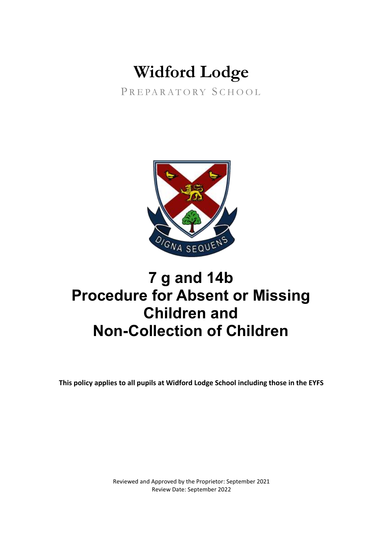# **Widford Lodge**

PREPARATORY SCHOOL



# **7 g and 14b Procedure for Absent or Missing Children and Non-Collection of Children**

**This policy applies to all pupils at Widford Lodge School including those in the EYFS**

Reviewed and Approved by the Proprietor: September 2021 Review Date: September 2022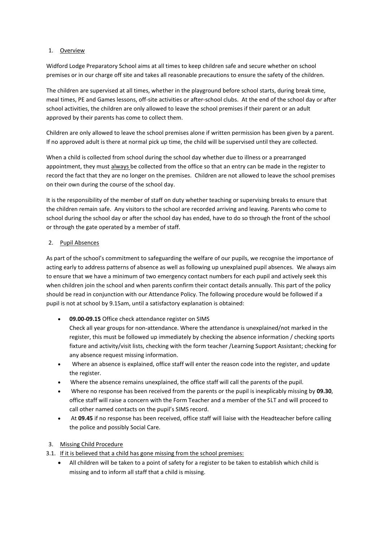# 1. Overview

Widford Lodge Preparatory School aims at all times to keep children safe and secure whether on school premises or in our charge off site and takes all reasonable precautions to ensure the safety of the children.

The children are supervised at all times, whether in the playground before school starts, during break time, meal times, PE and Games lessons, off-site activities or after-school clubs. At the end of the school day or after school activities, the children are only allowed to leave the school premises if their parent or an adult approved by their parents has come to collect them.

Children are only allowed to leave the school premises alone if written permission has been given by a parent. If no approved adult is there at normal pick up time, the child will be supervised until they are collected.

When a child is collected from school during the school day whether due to illness or a prearranged appointment, they must always be collected from the office so that an entry can be made in the register to record the fact that they are no longer on the premises. Children are not allowed to leave the school premises on their own during the course of the school day.

It is the responsibility of the member of staff on duty whether teaching or supervising breaks to ensure that the children remain safe. Any visitors to the school are recorded arriving and leaving. Parents who come to school during the school day or after the school day has ended, have to do so through the front of the school or through the gate operated by a member of staff.

# 2. Pupil Absences

As part of the school's commitment to safeguarding the welfare of our pupils, we recognise the importance of acting early to address patterns of absence as well as following up unexplained pupil absences. We always aim to ensure that we have a minimum of two emergency contact numbers for each pupil and actively seek this when children join the school and when parents confirm their contact details annually. This part of the policy should be read in conjunction with our Attendance Policy. The following procedure would be followed if a pupil is not at school by 9.15am, until a satisfactory explanation is obtained:

- **09.00-09.15** Office check attendance register on SIMS
	- Check all year groups for non-attendance. Where the attendance is unexplained/not marked in the register, this must be followed up immediately by checking the absence information / checking sports fixture and activity/visit lists, checking with the form teacher /Learning Support Assistant; checking for any absence request missing information.
- Where an absence is explained, office staff will enter the reason code into the register, and update the register.
- Where the absence remains unexplained, the office staff will call the parents of the pupil.
- Where no response has been received from the parents or the pupil is inexplicably missing by **09.30**, office staff will raise a concern with the Form Teacher and a member of the SLT and will proceed to call other named contacts on the pupil's SIMS record.
- At **09.45** if no response has been received, office staff will liaise with the Headteacher before calling the police and possibly Social Care.

# 3. Missing Child Procedure

- 3.1. If it is believed that a child has gone missing from the school premises:
	- All children will be taken to a point of safety for a register to be taken to establish which child is missing and to inform all staff that a child is missing.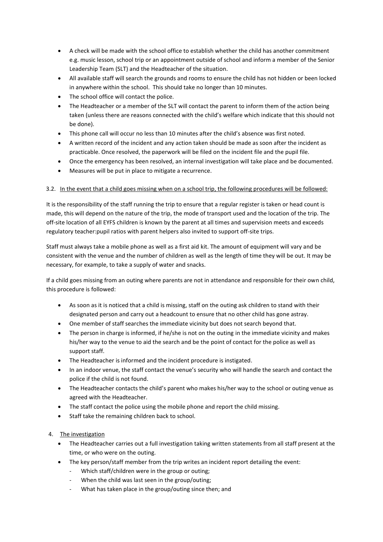- A check will be made with the school office to establish whether the child has another commitment e.g. music lesson, school trip or an appointment outside of school and inform a member of the Senior Leadership Team (SLT) and the Headteacher of the situation.
- All available staff will search the grounds and rooms to ensure the child has not hidden or been locked in anywhere within the school. This should take no longer than 10 minutes.
- The school office will contact the police.
- The Headteacher or a member of the SLT will contact the parent to inform them of the action being taken (unless there are reasons connected with the child's welfare which indicate that this should not be done).
- This phone call will occur no less than 10 minutes after the child's absence was first noted.
- A written record of the incident and any action taken should be made as soon after the incident as practicable. Once resolved, the paperwork will be filed on the incident file and the pupil file.
- Once the emergency has been resolved, an internal investigation will take place and be documented.
- Measures will be put in place to mitigate a recurrence.

#### 3.2. In the event that a child goes missing when on a school trip, the following procedures will be followed:

It is the responsibility of the staff running the trip to ensure that a regular register is taken or head count is made, this will depend on the nature of the trip, the mode of transport used and the location of the trip. The off-site location of all EYFS children is known by the parent at all times and supervision meets and exceeds regulatory teacher:pupil ratios with parent helpers also invited to support off-site trips.

Staff must always take a mobile phone as well as a first aid kit. The amount of equipment will vary and be consistent with the venue and the number of children as well as the length of time they will be out. It may be necessary, for example, to take a supply of water and snacks.

If a child goes missing from an outing where parents are not in attendance and responsible for their own child, this procedure is followed:

- As soon as it is noticed that a child is missing, staff on the outing ask children to stand with their designated person and carry out a headcount to ensure that no other child has gone astray.
- One member of staff searches the immediate vicinity but does not search beyond that.
- The person in charge is informed, if he/she is not on the outing in the immediate vicinity and makes his/her way to the venue to aid the search and be the point of contact for the police as well as support staff.
- The Headteacher is informed and the incident procedure is instigated.
- In an indoor venue, the staff contact the venue's security who will handle the search and contact the police if the child is not found.
- The Headteacher contacts the child's parent who makes his/her way to the school or outing venue as agreed with the Headteacher.
- The staff contact the police using the mobile phone and report the child missing.
- Staff take the remaining children back to school.
- 4. The investigation
	- The Headteacher carries out a full investigation taking written statements from all staff present at the time, or who were on the outing.
	- The key person/staff member from the trip writes an incident report detailing the event:
		- Which staff/children were in the group or outing;
		- When the child was last seen in the group/outing;
		- What has taken place in the group/outing since then; and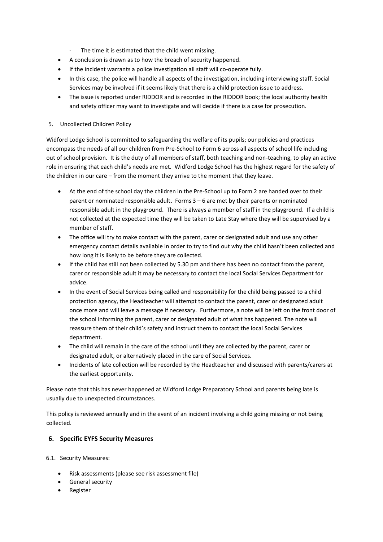- The time it is estimated that the child went missing.
- A conclusion is drawn as to how the breach of security happened.
- If the incident warrants a police investigation all staff will co-operate fully.
- In this case, the police will handle all aspects of the investigation, including interviewing staff. Social Services may be involved if it seems likely that there is a child protection issue to address.
- The issue is reported under RIDDOR and is recorded in the RIDDOR book; the local authority health and safety officer may want to investigate and will decide if there is a case for prosecution.

#### 5. Uncollected Children Policy

Widford Lodge School is committed to safeguarding the welfare of its pupils; our policies and practices encompass the needs of all our children from Pre-School to Form 6 across all aspects of school life including out of school provision. It is the duty of all members of staff, both teaching and non-teaching, to play an active role in ensuring that each child's needs are met. Widford Lodge School has the highest regard for the safety of the children in our care – from the moment they arrive to the moment that they leave.

- At the end of the school day the children in the Pre-School up to Form 2 are handed over to their parent or nominated responsible adult. Forms 3 – 6 are met by their parents or nominated responsible adult in the playground. There is always a member of staff in the playground. If a child is not collected at the expected time they will be taken to Late Stay where they will be supervised by a member of staff.
- The office will try to make contact with the parent, carer or designated adult and use any other emergency contact details available in order to try to find out why the child hasn't been collected and how long it is likely to be before they are collected.
- If the child has still not been collected by 5.30 pm and there has been no contact from the parent, carer or responsible adult it may be necessary to contact the local Social Services Department for advice.
- In the event of Social Services being called and responsibility for the child being passed to a child protection agency, the Headteacher will attempt to contact the parent, carer or designated adult once more and will leave a message if necessary. Furthermore, a note will be left on the front door of the school informing the parent, carer or designated adult of what has happened. The note will reassure them of their child's safety and instruct them to contact the local Social Services department.
- The child will remain in the care of the school until they are collected by the parent, carer or designated adult, or alternatively placed in the care of Social Services.
- Incidents of late collection will be recorded by the Headteacher and discussed with parents/carers at the earliest opportunity.

Please note that this has never happened at Widford Lodge Preparatory School and parents being late is usually due to unexpected circumstances.

This policy is reviewed annually and in the event of an incident involving a child going missing or not being collected.

# **6. Specific EYFS Security Measures**

# 6.1. Security Measures:

- Risk assessments (please see risk assessment file)
- **•** General security
- Register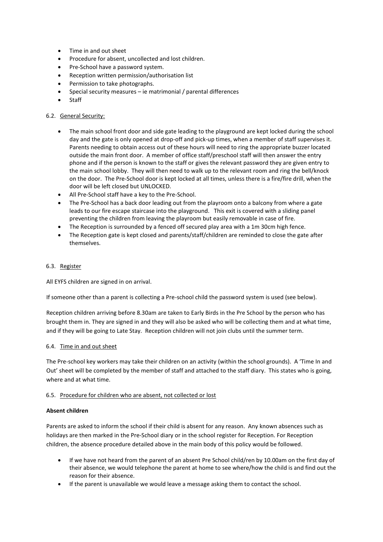- Time in and out sheet
- Procedure for absent, uncollected and lost children.
- Pre-School have a password system.
- Reception written permission/authorisation list
- Permission to take photographs.
- Special security measures ie matrimonial / parental differences
- Staff

#### 6.2. General Security:

- The main school front door and side gate leading to the playground are kept locked during the school day and the gate is only opened at drop-off and pick-up times, when a member of staff supervises it. Parents needing to obtain access out of these hours will need to ring the appropriate buzzer located outside the main front door. A member of office staff/preschool staff will then answer the entry phone and if the person is known to the staff or gives the relevant password they are given entry to the main school lobby. They will then need to walk up to the relevant room and ring the bell/knock on the door. The Pre-School door is kept locked at all times, unless there is a fire/fire drill, when the door will be left closed but UNLOCKED.
- All Pre-School staff have a key to the Pre-School.
- The Pre-School has a back door leading out from the playroom onto a balcony from where a gate leads to our fire escape staircase into the playground. This exit is covered with a sliding panel preventing the children from leaving the playroom but easily removable in case of fire.
- The Reception is surrounded by a fenced off secured play area with a 1m 30cm high fence.
- The Reception gate is kept closed and parents/staff/children are reminded to close the gate after themselves.

#### 6.3. Register

All EYFS children are signed in on arrival.

If someone other than a parent is collecting a Pre-school child the password system is used (see below).

Reception children arriving before 8.30am are taken to Early Birds in the Pre School by the person who has brought them in. They are signed in and they will also be asked who will be collecting them and at what time, and if they will be going to Late Stay. Reception children will not join clubs until the summer term.

#### 6.4. Time in and out sheet

The Pre-school key workers may take their children on an activity (within the school grounds). A 'Time In and Out' sheet will be completed by the member of staff and attached to the staff diary. This states who is going, where and at what time.

#### 6.5. Procedure for children who are absent, not collected or lost

#### **Absent children**

Parents are asked to inform the school if their child is absent for any reason. Any known absences such as holidays are then marked in the Pre-School diary or in the school register for Reception. For Reception children, the absence procedure detailed above in the main body of this policy would be followed.

- If we have not heard from the parent of an absent Pre School child/ren by 10.00am on the first day of their absence, we would telephone the parent at home to see where/how the child is and find out the reason for their absence.
- If the parent is unavailable we would leave a message asking them to contact the school.